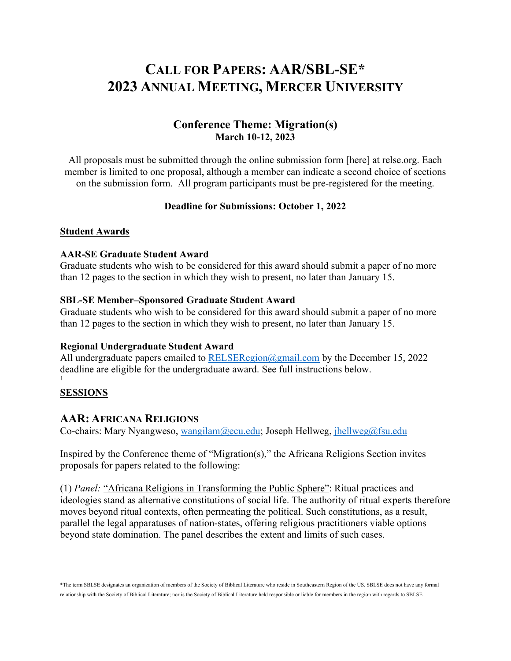# **CALL FOR PAPERS: AAR/SBL-SE\* 2023 ANNUAL MEETING, MERCER UNIVERSITY**

## **Conference Theme: Migration(s) March 10-12, 2023**

All proposals must be submitted through the online submission form [here] at relse.org. Each member is limited to one proposal, although a member can indicate a second choice of sections on the submission form. All program participants must be pre-registered for the meeting.

#### **Deadline for Submissions: October 1, 2022**

#### **Student Awards**

#### **AAR-SE Graduate Student Award**

Graduate students who wish to be considered for this award should submit a paper of no more than 12 pages to the section in which they wish to present, no later than January 15.

#### **SBL-SE Member–Sponsored Graduate Student Award**

Graduate students who wish to be considered for this award should submit a paper of no more than 12 pages to the section in which they wish to present, no later than January 15.

#### **Regional Undergraduate Student Award**

All undergraduate papers emailed to RELSERegion@gmail.com by the December 15, 2022 deadline are eligible for the undergraduate award. See full instructions below. 1

#### **SESSIONS**

#### **AAR: AFRICANA RELIGIONS**

Co-chairs: Mary Nyangweso, wangilam@ecu.edu; Joseph Hellweg, jhellweg@fsu.edu

Inspired by the Conference theme of "Migration(s)," the Africana Religions Section invites proposals for papers related to the following:

(1) *Panel:* "Africana Religions in Transforming the Public Sphere": Ritual practices and ideologies stand as alternative constitutions of social life. The authority of ritual experts therefore moves beyond ritual contexts, often permeating the political. Such constitutions, as a result, parallel the legal apparatuses of nation-states, offering religious practitioners viable options beyond state domination. The panel describes the extent and limits of such cases.

<sup>\*</sup>The term SBLSE designates an organization of members of the Society of Biblical Literature who reside in Southeastern Region of the US. SBLSE does not have any formal relationship with the Society of Biblical Literature; nor is the Society of Biblical Literature held responsible or liable for members in the region with regards to SBLSE.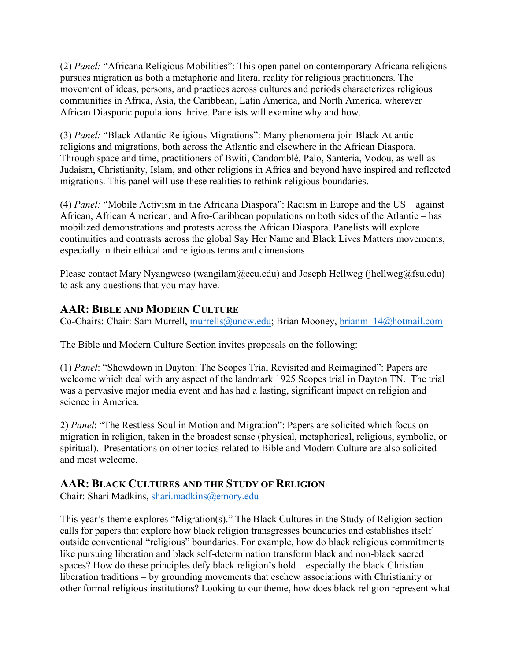(2) *Panel:* "Africana Religious Mobilities": This open panel on contemporary Africana religions pursues migration as both a metaphoric and literal reality for religious practitioners. The movement of ideas, persons, and practices across cultures and periods characterizes religious communities in Africa, Asia, the Caribbean, Latin America, and North America, wherever African Diasporic populations thrive. Panelists will examine why and how.

(3) *Panel:* "Black Atlantic Religious Migrations": Many phenomena join Black Atlantic religions and migrations, both across the Atlantic and elsewhere in the African Diaspora. Through space and time, practitioners of Bwiti, Candomblé, Palo, Santeria, Vodou, as well as Judaism, Christianity, Islam, and other religions in Africa and beyond have inspired and reflected migrations. This panel will use these realities to rethink religious boundaries.

(4) *Panel:* "Mobile Activism in the Africana Diaspora": Racism in Europe and the US – against African, African American, and Afro-Caribbean populations on both sides of the Atlantic – has mobilized demonstrations and protests across the African Diaspora. Panelists will explore continuities and contrasts across the global Say Her Name and Black Lives Matters movements, especially in their ethical and religious terms and dimensions.

Please contact Mary Nyangweso (wangilam@ecu.edu) and Joseph Hellweg (jhellweg@fsu.edu) to ask any questions that you may have.

# **AAR: BIBLE AND MODERN CULTURE**

Co-Chairs: Chair: Sam Murrell, murrells@uncw.edu; Brian Mooney, brianm\_14@hotmail.com

The Bible and Modern Culture Section invites proposals on the following:

(1) *Panel*: "Showdown in Dayton: The Scopes Trial Revisited and Reimagined": Papers are welcome which deal with any aspect of the landmark 1925 Scopes trial in Dayton TN. The trial was a pervasive major media event and has had a lasting, significant impact on religion and science in America.

2) *Panel*: "The Restless Soul in Motion and Migration": Papers are solicited which focus on migration in religion, taken in the broadest sense (physical, metaphorical, religious, symbolic, or spiritual). Presentations on other topics related to Bible and Modern Culture are also solicited and most welcome.

# **AAR: BLACK CULTURES AND THE STUDY OF RELIGION**

Chair: Shari Madkins, shari.madkins@emory.edu

This year's theme explores "Migration(s)." The Black Cultures in the Study of Religion section calls for papers that explore how black religion transgresses boundaries and establishes itself outside conventional "religious" boundaries. For example, how do black religious commitments like pursuing liberation and black self-determination transform black and non-black sacred spaces? How do these principles defy black religion's hold – especially the black Christian liberation traditions – by grounding movements that eschew associations with Christianity or other formal religious institutions? Looking to our theme, how does black religion represent what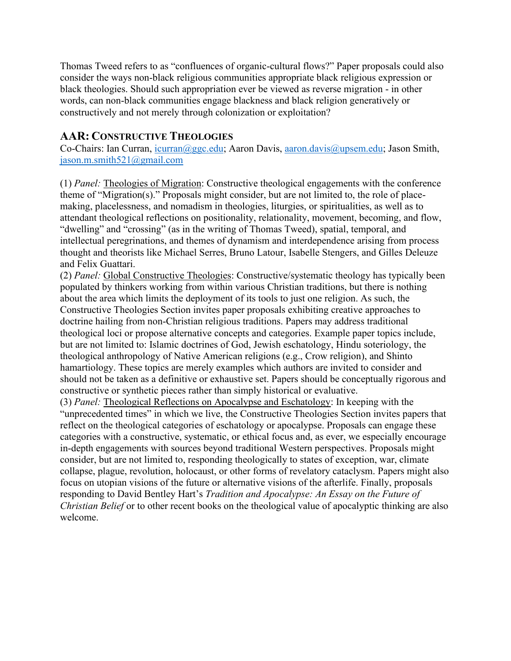Thomas Tweed refers to as "confluences of organic-cultural flows?" Paper proposals could also consider the ways non-black religious communities appropriate black religious expression or black theologies. Should such appropriation ever be viewed as reverse migration - in other words, can non-black communities engage blackness and black religion generatively or constructively and not merely through colonization or exploitation?

# **AAR: CONSTRUCTIVE THEOLOGIES**

Co-Chairs: Ian Curran, icurran@ggc.edu; Aaron Davis, aaron.davis@upsem.edu; Jason Smith, jason.m.smith521@gmail.com

(1) *Panel:* Theologies of Migration: Constructive theological engagements with the conference theme of "Migration(s)." Proposals might consider, but are not limited to, the role of placemaking, placelessness, and nomadism in theologies, liturgies, or spiritualities, as well as to attendant theological reflections on positionality, relationality, movement, becoming, and flow, "dwelling" and "crossing" (as in the writing of Thomas Tweed), spatial, temporal, and intellectual peregrinations, and themes of dynamism and interdependence arising from process thought and theorists like Michael Serres, Bruno Latour, Isabelle Stengers, and Gilles Deleuze and Felix Guattari.

(2) *Panel:* Global Constructive Theologies: Constructive/systematic theology has typically been populated by thinkers working from within various Christian traditions, but there is nothing about the area which limits the deployment of its tools to just one religion. As such, the Constructive Theologies Section invites paper proposals exhibiting creative approaches to doctrine hailing from non-Christian religious traditions. Papers may address traditional theological loci or propose alternative concepts and categories. Example paper topics include, but are not limited to: Islamic doctrines of God, Jewish eschatology, Hindu soteriology, the theological anthropology of Native American religions (e.g., Crow religion), and Shinto hamartiology. These topics are merely examples which authors are invited to consider and should not be taken as a definitive or exhaustive set. Papers should be conceptually rigorous and constructive or synthetic pieces rather than simply historical or evaluative.

(3) *Panel:* Theological Reflections on Apocalypse and Eschatology: In keeping with the "unprecedented times" in which we live, the Constructive Theologies Section invites papers that reflect on the theological categories of eschatology or apocalypse. Proposals can engage these categories with a constructive, systematic, or ethical focus and, as ever, we especially encourage in-depth engagements with sources beyond traditional Western perspectives. Proposals might consider, but are not limited to, responding theologically to states of exception, war, climate collapse, plague, revolution, holocaust, or other forms of revelatory cataclysm. Papers might also focus on utopian visions of the future or alternative visions of the afterlife. Finally, proposals responding to David Bentley Hart's *Tradition and Apocalypse: An Essay on the Future of Christian Belief* or to other recent books on the theological value of apocalyptic thinking are also welcome.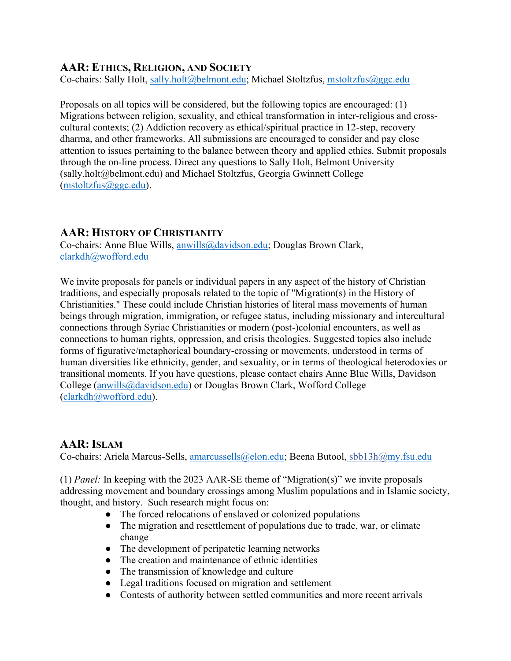# **AAR: ETHICS, RELIGION, AND SOCIETY**

Co-chairs: Sally Holt, sally.holt@belmont.edu; Michael Stoltzfus, mstoltzfus@ggc.edu

Proposals on all topics will be considered, but the following topics are encouraged: (1) Migrations between religion, sexuality, and ethical transformation in inter-religious and crosscultural contexts; (2) Addiction recovery as ethical/spiritual practice in 12-step, recovery dharma, and other frameworks. All submissions are encouraged to consider and pay close attention to issues pertaining to the balance between theory and applied ethics. Submit proposals through the on-line process. Direct any questions to Sally Holt, Belmont University (sally.holt@belmont.edu) and Michael Stoltzfus, Georgia Gwinnett College (mstoltzfus@ggc.edu).

## **AAR: HISTORY OF CHRISTIANITY**

Co-chairs: Anne Blue Wills, anwills@davidson.edu; Douglas Brown Clark, clarkdh@wofford.edu

We invite proposals for panels or individual papers in any aspect of the history of Christian traditions, and especially proposals related to the topic of "Migration(s) in the History of Christianities." These could include Christian histories of literal mass movements of human beings through migration, immigration, or refugee status, including missionary and intercultural connections through Syriac Christianities or modern (post-)colonial encounters, as well as connections to human rights, oppression, and crisis theologies. Suggested topics also include forms of figurative/metaphorical boundary-crossing or movements, understood in terms of human diversities like ethnicity, gender, and sexuality, or in terms of theological heterodoxies or transitional moments. If you have questions, please contact chairs Anne Blue Wills, Davidson College (anwills@davidson.edu) or Douglas Brown Clark, Wofford College (clarkdh@wofford.edu).

## **AAR:ISLAM**

Co-chairs: Ariela Marcus-Sells, amarcussells@elon.edu; Beena Butool, sbb13h@my.fsu.edu

(1) *Panel:* In keeping with the 2023 AAR-SE theme of "Migration(s)" we invite proposals addressing movement and boundary crossings among Muslim populations and in Islamic society, thought, and history. Such research might focus on:

- The forced relocations of enslaved or colonized populations
- The migration and resettlement of populations due to trade, war, or climate change
- The development of peripatetic learning networks
- The creation and maintenance of ethnic identities
- The transmission of knowledge and culture
- Legal traditions focused on migration and settlement
- Contests of authority between settled communities and more recent arrivals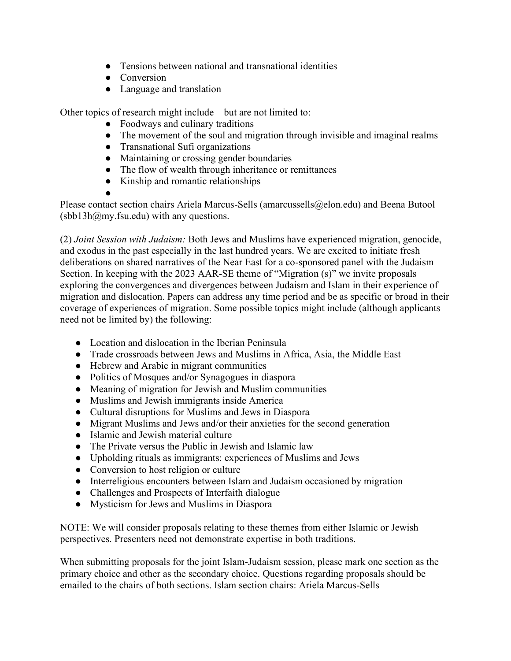- Tensions between national and transnational identities
- Conversion
- Language and translation

Other topics of research might include – but are not limited to:

- Foodways and culinary traditions
- The movement of the soul and migration through invisible and imaginal realms
- Transnational Sufi organizations
- Maintaining or crossing gender boundaries
- The flow of wealth through inheritance or remittances
- Kinship and romantic relationships
- ●

Please contact section chairs Ariela Marcus-Sells (amarcussells@elon.edu) and Beena Butool  $(sbb13h@my.fsu.edu)$  with any questions.

(2) *Joint Session with Judaism:* Both Jews and Muslims have experienced migration, genocide, and exodus in the past especially in the last hundred years. We are excited to initiate fresh deliberations on shared narratives of the Near East for a co-sponsored panel with the Judaism Section. In keeping with the 2023 AAR-SE theme of "Migration (s)" we invite proposals exploring the convergences and divergences between Judaism and Islam in their experience of migration and dislocation. Papers can address any time period and be as specific or broad in their coverage of experiences of migration. Some possible topics might include (although applicants need not be limited by) the following:

- Location and dislocation in the Iberian Peninsula
- Trade crossroads between Jews and Muslims in Africa, Asia, the Middle East
- Hebrew and Arabic in migrant communities
- Politics of Mosques and/or Synagogues in diaspora
- Meaning of migration for Jewish and Muslim communities
- Muslims and Jewish immigrants inside America
- Cultural disruptions for Muslims and Jews in Diaspora
- Migrant Muslims and Jews and/or their anxieties for the second generation
- Islamic and Jewish material culture
- The Private versus the Public in Jewish and Islamic law
- Upholding rituals as immigrants: experiences of Muslims and Jews
- Conversion to host religion or culture
- Interreligious encounters between Islam and Judaism occasioned by migration
- Challenges and Prospects of Interfaith dialogue
- Mysticism for Jews and Muslims in Diaspora

NOTE: We will consider proposals relating to these themes from either Islamic or Jewish perspectives. Presenters need not demonstrate expertise in both traditions.

When submitting proposals for the joint Islam-Judaism session, please mark one section as the primary choice and other as the secondary choice. Questions regarding proposals should be emailed to the chairs of both sections. Islam section chairs: Ariela Marcus-Sells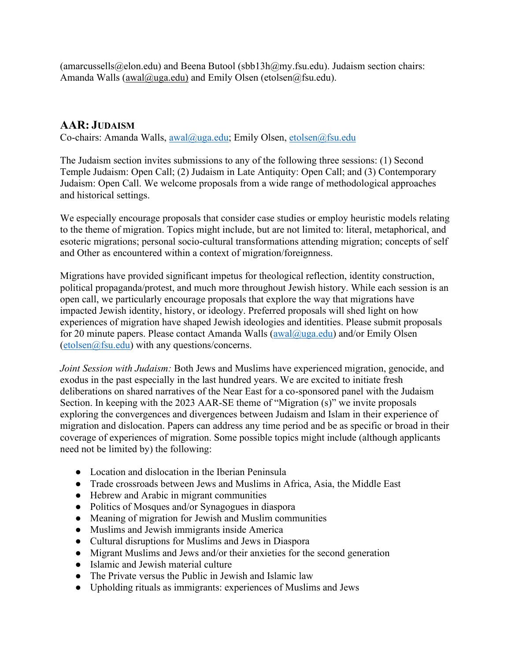(amarcussells@elon.edu) and Beena Butool (sbb13h@my.fsu.edu). Judaism section chairs: Amanda Walls (awal@uga.edu) and Emily Olsen (etolsen@fsu.edu).

# **AAR: JUDAISM**

Co-chairs: Amanda Walls, awal@uga.edu; Emily Olsen, etolsen@fsu.edu

The Judaism section invites submissions to any of the following three sessions: (1) Second Temple Judaism: Open Call; (2) Judaism in Late Antiquity: Open Call; and (3) Contemporary Judaism: Open Call. We welcome proposals from a wide range of methodological approaches and historical settings.

We especially encourage proposals that consider case studies or employ heuristic models relating to the theme of migration. Topics might include, but are not limited to: literal, metaphorical, and esoteric migrations; personal socio-cultural transformations attending migration; concepts of self and Other as encountered within a context of migration/foreignness.

Migrations have provided significant impetus for theological reflection, identity construction, political propaganda/protest, and much more throughout Jewish history. While each session is an open call, we particularly encourage proposals that explore the way that migrations have impacted Jewish identity, history, or ideology. Preferred proposals will shed light on how experiences of migration have shaped Jewish ideologies and identities. Please submit proposals for 20 minute papers. Please contact Amanda Walls ( $awal@uga.edu$ ) and/or Emily Olsen (etolsen@fsu.edu) with any questions/concerns.

*Joint Session with Judaism:* Both Jews and Muslims have experienced migration, genocide, and exodus in the past especially in the last hundred years. We are excited to initiate fresh deliberations on shared narratives of the Near East for a co-sponsored panel with the Judaism Section. In keeping with the 2023 AAR-SE theme of "Migration (s)" we invite proposals exploring the convergences and divergences between Judaism and Islam in their experience of migration and dislocation. Papers can address any time period and be as specific or broad in their coverage of experiences of migration. Some possible topics might include (although applicants need not be limited by) the following:

- Location and dislocation in the Iberian Peninsula
- Trade crossroads between Jews and Muslims in Africa, Asia, the Middle East
- Hebrew and Arabic in migrant communities
- Politics of Mosques and/or Synagogues in diaspora
- Meaning of migration for Jewish and Muslim communities
- Muslims and Jewish immigrants inside America
- Cultural disruptions for Muslims and Jews in Diaspora
- Migrant Muslims and Jews and/or their anxieties for the second generation
- Islamic and Jewish material culture
- The Private versus the Public in Jewish and Islamic law
- Upholding rituals as immigrants: experiences of Muslims and Jews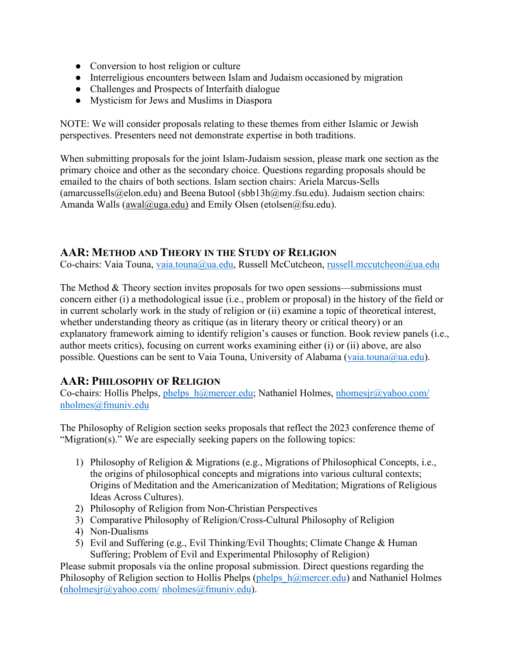- Conversion to host religion or culture
- Interreligious encounters between Islam and Judaism occasioned by migration
- Challenges and Prospects of Interfaith dialogue
- Mysticism for Jews and Muslims in Diaspora

NOTE: We will consider proposals relating to these themes from either Islamic or Jewish perspectives. Presenters need not demonstrate expertise in both traditions.

When submitting proposals for the joint Islam-Judaism session, please mark one section as the primary choice and other as the secondary choice. Questions regarding proposals should be emailed to the chairs of both sections. Islam section chairs: Ariela Marcus-Sells (amarcussells@elon.edu) and Beena Butool (sbb13h@my.fsu.edu). Judaism section chairs: Amanda Walls (awal@uga.edu) and Emily Olsen (etolsen@fsu.edu).

## **AAR: METHOD AND THEORY IN THE STUDY OF RELIGION**

Co-chairs: Vaia Touna, vaia.touna@ua.edu, Russell McCutcheon, russell.mccutcheon@ua.edu

The Method & Theory section invites proposals for two open sessions—submissions must concern either (i) a methodological issue (i.e., problem or proposal) in the history of the field or in current scholarly work in the study of religion or (ii) examine a topic of theoretical interest, whether understanding theory as critique (as in literary theory or critical theory) or an explanatory framework aiming to identify religion's causes or function. Book review panels (i.e., author meets critics), focusing on current works examining either (i) or (ii) above, are also possible. Questions can be sent to Vaia Touna, University of Alabama (vaia.touna@ua.edu).

# **AAR: PHILOSOPHY OF RELIGION**

Co-chairs: Hollis Phelps, phelps  $h@mercer.edu$ ; Nathaniel Holmes, nhomesjr@yahoo.com/ nholmes@fmuniv.edu

The Philosophy of Religion section seeks proposals that reflect the 2023 conference theme of "Migration(s)." We are especially seeking papers on the following topics:

- 1) Philosophy of Religion & Migrations (e.g., Migrations of Philosophical Concepts, i.e., the origins of philosophical concepts and migrations into various cultural contexts; Origins of Meditation and the Americanization of Meditation; Migrations of Religious Ideas Across Cultures).
- 2) Philosophy of Religion from Non-Christian Perspectives
- 3) Comparative Philosophy of Religion/Cross-Cultural Philosophy of Religion
- 4) Non-Dualisms
- 5) Evil and Suffering (e.g., Evil Thinking/Evil Thoughts; Climate Change & Human Suffering; Problem of Evil and Experimental Philosophy of Religion)

Please submit proposals via the online proposal submission. Direct questions regarding the Philosophy of Religion section to Hollis Phelps (phelps  $h@mercer.edu$ ) and Nathaniel Holmes (nholmesjr@yahoo.com/ nholmes@fmuniv.edu).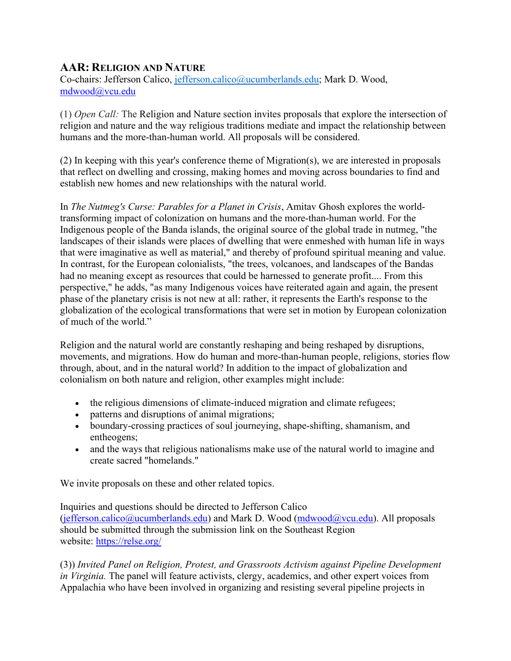# **AAR: RELIGION AND NATURE**

Co-chairs: Jefferson Calico, jefferson.calico@ucumberlands.edu; Mark D. Wood, mdwood@vcu.edu

(1) *Open Call:* The Religion and Nature section invites proposals that explore the intersection of religion and nature and the way religious traditions mediate and impact the relationship between humans and the more-than-human world. All proposals will be considered.

(2) In keeping with this year's conference theme of Migration(s), we are interested in proposals that reflect on dwelling and crossing, making homes and moving across boundaries to find and establish new homes and new relationships with the natural world.

In *The Nutmeg's Curse: Parables for a Planet in Crisis*, Amitav Ghosh explores the worldtransforming impact of colonization on humans and the more-than-human world. For the Indigenous people of the Banda islands, the original source of the global trade in nutmeg, "the landscapes of their islands were places of dwelling that were enmeshed with human life in ways that were imaginative as well as material," and thereby of profound spiritual meaning and value. In contrast, for the European colonialists, "the trees, volcanoes, and landscapes of the Bandas had no meaning except as resources that could be harnessed to generate profit.... From this perspective," he adds, "as many Indigenous voices have reiterated again and again, the present phase of the planetary crisis is not new at all: rather, it represents the Earth's response to the globalization of the ecological transformations that were set in motion by European colonization of much of the world."

Religion and the natural world are constantly reshaping and being reshaped by disruptions, movements, and migrations. How do human and more-than-human people, religions, stories flow through, about, and in the natural world? In addition to the impact of globalization and colonialism on both nature and religion, other examples might include:

- the religious dimensions of climate-induced migration and climate refugees;
- patterns and disruptions of animal migrations;
- boundary-crossing practices of soul journeying, shape-shifting, shamanism, and entheogens;
- and the ways that religious nationalisms make use of the natural world to imagine and create sacred "homelands."

We invite proposals on these and other related topics.

Inquiries and questions should be directed to Jefferson Calico (jefferson.calico@ucumberlands.edu) and Mark D. Wood (mdwood@vcu.edu). All proposals should be submitted through the submission link on the Southeast Region website: https://relse.org/

(3)) *Invited Panel on Religion, Protest, and Grassroots Activism against Pipeline Development in Virginia.* The panel will feature activists, clergy, academics, and other expert voices from Appalachia who have been involved in organizing and resisting several pipeline projects in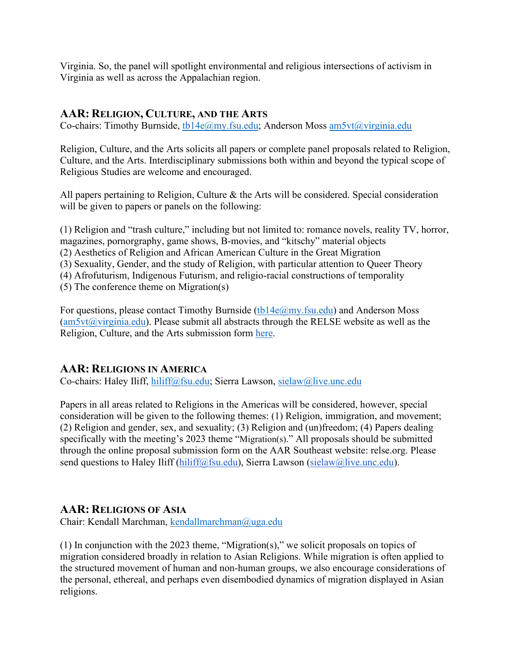Virginia. So, the panel will spotlight environmental and religious intersections of activism in Virginia as well as across the Appalachian region.

### **AAR: RELIGION, CULTURE, AND THE ARTS**

Co-chairs: Timothy Burnside, tb14e@my.fsu.edu; Anderson Moss am5vt@virginia.edu

Religion, Culture, and the Arts solicits all papers or complete panel proposals related to Religion, Culture, and the Arts. Interdisciplinary submissions both within and beyond the typical scope of Religious Studies are welcome and encouraged.

All papers pertaining to Religion, Culture & the Arts will be considered. Special consideration will be given to papers or panels on the following:

(1) Religion and "trash culture," including but not limited to: romance novels, reality TV, horror, magazines, pornorgraphy, game shows, B-movies, and "kitschy" material objects (2) Aesthetics of Religion and African American Culture in the Great Migration (3) Sexuality, Gender, and the study of Religion, with particular attention to Queer Theory (4) Afrofuturism, Indigenous Futurism, and religio-racial constructions of temporality (5) The conference theme on Migration(s)

For questions, please contact Timothy Burnside (tb14e $@$ my.fsu.edu) and Anderson Moss  $(am5vt@virginia.edu)$ . Please submit all abstracts through the RELSE website as well as the Religion, Culture, and the Arts submission form here.

# **AAR: RELIGIONS IN AMERICA**

Co-chairs: Haley Iliff, hiliff@fsu.edu; Sierra Lawson, sielaw@live.unc.edu

Papers in all areas related to Religions in the Americas will be considered, however, special consideration will be given to the following themes: (1) Religion, immigration, and movement; (2) Religion and gender, sex, and sexuality; (3) Religion and (un)freedom; (4) Papers dealing specifically with the meeting's 2023 theme "Migration(s)." All proposals should be submitted through the online proposal submission form on the AAR Southeast website: relse.org. Please send questions to Haley Iliff (hiliff@fsu.edu), Sierra Lawson (sielaw@live.unc.edu).

## **AAR: RELIGIONS OF ASIA**

Chair: Kendall Marchman, kendallmarchman@uga.edu

(1) In conjunction with the 2023 theme, "Migration(s)," we solicit proposals on topics of migration considered broadly in relation to Asian Religions. While migration is often applied to the structured movement of human and non-human groups, we also encourage considerations of the personal, ethereal, and perhaps even disembodied dynamics of migration displayed in Asian religions.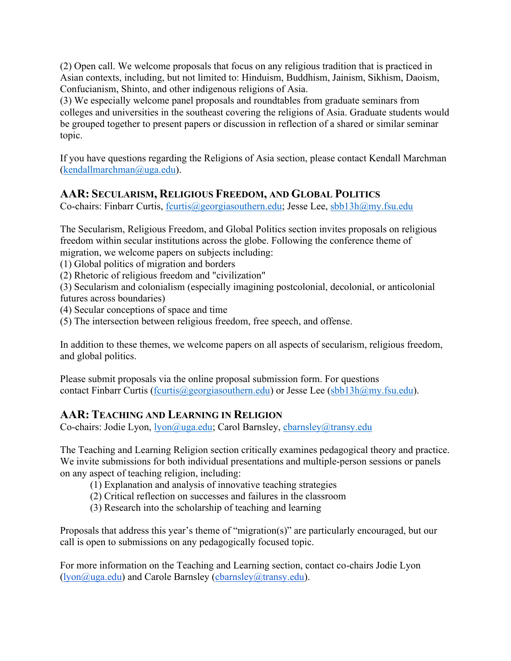(2) Open call. We welcome proposals that focus on any religious tradition that is practiced in Asian contexts, including, but not limited to: Hinduism, Buddhism, Jainism, Sikhism, Daoism, Confucianism, Shinto, and other indigenous religions of Asia.

(3) We especially welcome panel proposals and roundtables from graduate seminars from colleges and universities in the southeast covering the religions of Asia. Graduate students would be grouped together to present papers or discussion in reflection of a shared or similar seminar topic.

If you have questions regarding the Religions of Asia section, please contact Kendall Marchman (kendallmarchman@uga.edu).

# **AAR: SECULARISM, RELIGIOUS FREEDOM, AND GLOBAL POLITICS**

Co-chairs: Finbarr Curtis, fcurtis@georgiasouthern.edu; Jesse Lee, sbb13h@my.fsu.edu

The Secularism, Religious Freedom, and Global Politics section invites proposals on religious freedom within secular institutions across the globe. Following the conference theme of migration, we welcome papers on subjects including:

(1) Global politics of migration and borders

(2) Rhetoric of religious freedom and "civilization"

(3) Secularism and colonialism (especially imagining postcolonial, decolonial, or anticolonial futures across boundaries)

(4) Secular conceptions of space and time

(5) The intersection between religious freedom, free speech, and offense.

In addition to these themes, we welcome papers on all aspects of secularism, religious freedom, and global politics.

Please submit proposals via the online proposal submission form. For questions contact Finbarr Curtis (fcurtis  $(\partial_{\xi}$ georgiasouthern.edu) or Jesse Lee (sbb13h $(\partial_{\xi}$ my.fsu.edu).

# **AAR: TEACHING AND LEARNING IN RELIGION**

Co-chairs: Jodie Lyon, lyon@uga.edu; Carol Barnsley, cbarnsley@transy.edu

The Teaching and Learning Religion section critically examines pedagogical theory and practice. We invite submissions for both individual presentations and multiple-person sessions or panels on any aspect of teaching religion, including:

(1) Explanation and analysis of innovative teaching strategies

(2) Critical reflection on successes and failures in the classroom

(3) Research into the scholarship of teaching and learning

Proposals that address this year's theme of "migration(s)" are particularly encouraged, but our call is open to submissions on any pedagogically focused topic.

For more information on the Teaching and Learning section, contact co-chairs Jodie Lyon (lyon@uga.edu) and Carole Barnsley (cbarnsley@transy.edu).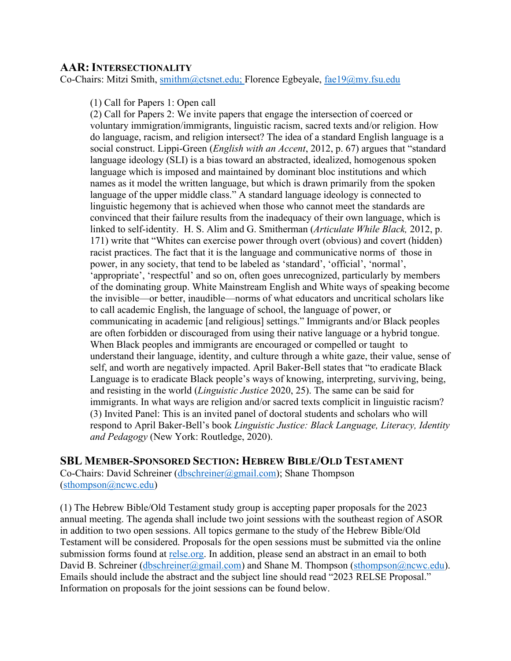#### **AAR:INTERSECTIONALITY**

Co-Chairs: Mitzi Smith, smithm@ctsnet.edu; Florence Egbeyale, fae19@my.fsu.edu

(1) Call for Papers 1: Open call

(2) Call for Papers 2: We invite papers that engage the intersection of coerced or voluntary immigration/immigrants, linguistic racism, sacred texts and/or religion. How do language, racism, and religion intersect? The idea of a standard English language is a social construct. Lippi-Green (*English with an Accent*, 2012, p. 67) argues that "standard language ideology (SLI) is a bias toward an abstracted, idealized, homogenous spoken language which is imposed and maintained by dominant bloc institutions and which names as it model the written language, but which is drawn primarily from the spoken language of the upper middle class." A standard language ideology is connected to linguistic hegemony that is achieved when those who cannot meet the standards are convinced that their failure results from the inadequacy of their own language, which is linked to self-identity. H. S. Alim and G. Smitherman (*Articulate While Black,* 2012, p. 171) write that "Whites can exercise power through overt (obvious) and covert (hidden) racist practices. The fact that it is the language and communicative norms of those in power, in any society, that tend to be labeled as 'standard', 'official', 'normal', 'appropriate', 'respectful' and so on, often goes unrecognized, particularly by members of the dominating group. White Mainstream English and White ways of speaking become the invisible—or better, inaudible—norms of what educators and uncritical scholars like to call academic English, the language of school, the language of power, or communicating in academic [and religious] settings." Immigrants and/or Black peoples are often forbidden or discouraged from using their native language or a hybrid tongue. When Black peoples and immigrants are encouraged or compelled or taught to understand their language, identity, and culture through a white gaze, their value, sense of self, and worth are negatively impacted. April Baker-Bell states that "to eradicate Black Language is to eradicate Black people's ways of knowing, interpreting, surviving, being, and resisting in the world (*Linguistic Justice* 2020, 25). The same can be said for immigrants. In what ways are religion and/or sacred texts complicit in linguistic racism? (3) Invited Panel: This is an invited panel of doctoral students and scholars who will respond to April Baker-Bell's book *Linguistic Justice: Black Language, Literacy, Identity and Pedagogy* (New York: Routledge, 2020).

## **SBL MEMBER-SPONSORED SECTION: HEBREW BIBLE/OLD TESTAMENT**

Co-Chairs: David Schreiner (dbschreiner@gmail.com); Shane Thompson (sthompson@ncwc.edu)

(1) The Hebrew Bible/Old Testament study group is accepting paper proposals for the 2023 annual meeting. The agenda shall include two joint sessions with the southeast region of ASOR in addition to two open sessions. All topics germane to the study of the Hebrew Bible/Old Testament will be considered. Proposals for the open sessions must be submitted via the online submission forms found at relse.org. In addition, please send an abstract in an email to both David B. Schreiner (dbschreiner@gmail.com) and Shane M. Thompson (sthompson@ncwc.edu). Emails should include the abstract and the subject line should read "2023 RELSE Proposal." Information on proposals for the joint sessions can be found below.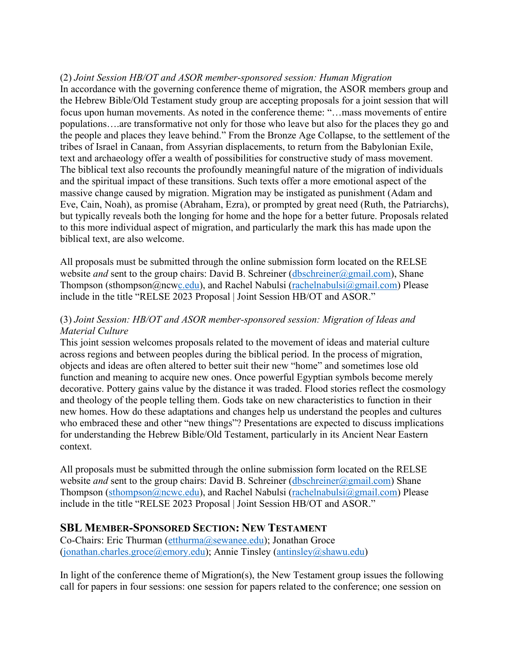#### (2) *Joint Session HB/OT and ASOR member-sponsored session: Human Migration*

In accordance with the governing conference theme of migration, the ASOR members group and the Hebrew Bible/Old Testament study group are accepting proposals for a joint session that will focus upon human movements. As noted in the conference theme: "…mass movements of entire populations….are transformative not only for those who leave but also for the places they go and the people and places they leave behind." From the Bronze Age Collapse, to the settlement of the tribes of Israel in Canaan, from Assyrian displacements, to return from the Babylonian Exile, text and archaeology offer a wealth of possibilities for constructive study of mass movement. The biblical text also recounts the profoundly meaningful nature of the migration of individuals and the spiritual impact of these transitions. Such texts offer a more emotional aspect of the massive change caused by migration. Migration may be instigated as punishment (Adam and Eve, Cain, Noah), as promise (Abraham, Ezra), or prompted by great need (Ruth, the Patriarchs), but typically reveals both the longing for home and the hope for a better future. Proposals related to this more individual aspect of migration, and particularly the mark this has made upon the biblical text, are also welcome.

All proposals must be submitted through the online submission form located on the RELSE website *and* sent to the group chairs: David B. Schreiner (dbschreiner@gmail.com), Shane Thompson (sthompson@ncwc.edu), and Rachel Nabulsi (rachelnabulsi@gmail.com) Please include in the title "RELSE 2023 Proposal | Joint Session HB/OT and ASOR."

#### (3) *Joint Session: HB/OT and ASOR member-sponsored session: Migration of Ideas and Material Culture*

This joint session welcomes proposals related to the movement of ideas and material culture across regions and between peoples during the biblical period. In the process of migration, objects and ideas are often altered to better suit their new "home" and sometimes lose old function and meaning to acquire new ones. Once powerful Egyptian symbols become merely decorative. Pottery gains value by the distance it was traded. Flood stories reflect the cosmology and theology of the people telling them. Gods take on new characteristics to function in their new homes. How do these adaptations and changes help us understand the peoples and cultures who embraced these and other "new things"? Presentations are expected to discuss implications for understanding the Hebrew Bible/Old Testament, particularly in its Ancient Near Eastern context.

All proposals must be submitted through the online submission form located on the RELSE website *and* sent to the group chairs: David B. Schreiner (dbschreiner@gmail.com) Shane Thompson (sthompson@ncwc.edu), and Rachel Nabulsi (rachelnabulsi@gmail.com) Please include in the title "RELSE 2023 Proposal | Joint Session HB/OT and ASOR."

#### **SBL MEMBER-SPONSORED SECTION: NEW TESTAMENT**

Co-Chairs: Eric Thurman (etthurma@sewanee.edu); Jonathan Groce (jonathan.charles.groce@emory.edu); Annie Tinsley (antinsley@shawu.edu)

In light of the conference theme of Migration(s), the New Testament group issues the following call for papers in four sessions: one session for papers related to the conference; one session on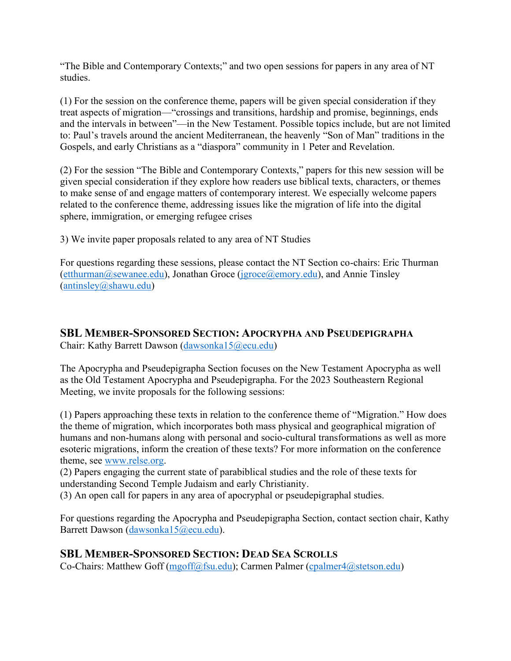"The Bible and Contemporary Contexts;" and two open sessions for papers in any area of NT studies.

(1) For the session on the conference theme, papers will be given special consideration if they treat aspects of migration—"crossings and transitions, hardship and promise, beginnings, ends and the intervals in between"—in the New Testament. Possible topics include, but are not limited to: Paul's travels around the ancient Mediterranean, the heavenly "Son of Man" traditions in the Gospels, and early Christians as a "diaspora" community in 1 Peter and Revelation.

(2) For the session "The Bible and Contemporary Contexts," papers for this new session will be given special consideration if they explore how readers use biblical texts, characters, or themes to make sense of and engage matters of contemporary interest. We especially welcome papers related to the conference theme, addressing issues like the migration of life into the digital sphere, immigration, or emerging refugee crises

3) We invite paper proposals related to any area of NT Studies

For questions regarding these sessions, please contact the NT Section co-chairs: Eric Thurman  $(\text{ethurman@sewanee.edu})$ , Jonathan Groce  $(\text{igroce@emory.edu})$ , and Annie Tinsley (antinsley@shawu.edu)

# **SBL MEMBER-SPONSORED SECTION: APOCRYPHA AND PSEUDEPIGRAPHA**

Chair: Kathy Barrett Dawson (dawsonka15@ecu.edu)

The Apocrypha and Pseudepigrapha Section focuses on the New Testament Apocrypha as well as the Old Testament Apocrypha and Pseudepigrapha. For the 2023 Southeastern Regional Meeting, we invite proposals for the following sessions:

(1) Papers approaching these texts in relation to the conference theme of "Migration." How does the theme of migration, which incorporates both mass physical and geographical migration of humans and non-humans along with personal and socio-cultural transformations as well as more esoteric migrations, inform the creation of these texts? For more information on the conference theme, see www.relse.org.

(2) Papers engaging the current state of parabiblical studies and the role of these texts for understanding Second Temple Judaism and early Christianity.

(3) An open call for papers in any area of apocryphal or pseudepigraphal studies.

For questions regarding the Apocrypha and Pseudepigrapha Section, contact section chair, Kathy Barrett Dawson (dawsonka15@ecu.edu).

# **SBL MEMBER-SPONSORED SECTION: DEAD SEA SCROLLS**

Co-Chairs: Matthew Goff (mgoff@fsu.edu); Carmen Palmer (cpalmer4@stetson.edu)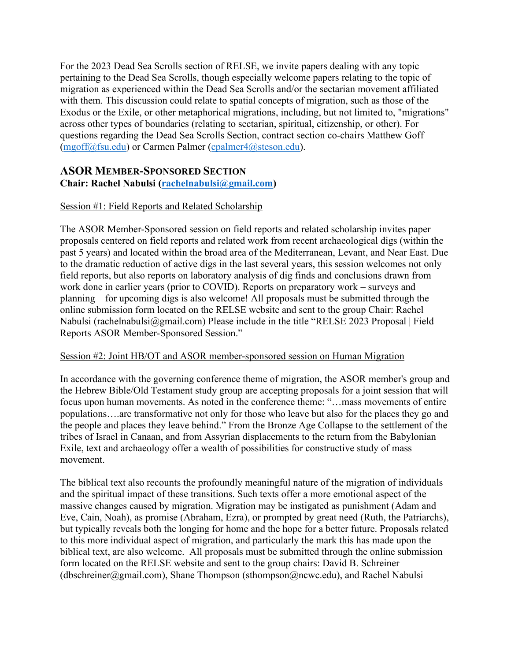For the 2023 Dead Sea Scrolls section of RELSE, we invite papers dealing with any topic pertaining to the Dead Sea Scrolls, though especially welcome papers relating to the topic of migration as experienced within the Dead Sea Scrolls and/or the sectarian movement affiliated with them. This discussion could relate to spatial concepts of migration, such as those of the Exodus or the Exile, or other metaphorical migrations, including, but not limited to, "migrations" across other types of boundaries (relating to sectarian, spiritual, citizenship, or other). For questions regarding the Dead Sea Scrolls Section, contract section co-chairs Matthew Goff (mgoff@fsu.edu) or Carmen Palmer (cpalmer4@steson.edu).

# **ASOR MEMBER-SPONSORED SECTION**

### **Chair: Rachel Nabulsi (rachelnabulsi@gmail.com)**

### Session #1: Field Reports and Related Scholarship

The ASOR Member-Sponsored session on field reports and related scholarship invites paper proposals centered on field reports and related work from recent archaeological digs (within the past 5 years) and located within the broad area of the Mediterranean, Levant, and Near East. Due to the dramatic reduction of active digs in the last several years, this session welcomes not only field reports, but also reports on laboratory analysis of dig finds and conclusions drawn from work done in earlier years (prior to COVID). Reports on preparatory work – surveys and planning – for upcoming digs is also welcome! All proposals must be submitted through the online submission form located on the RELSE website and sent to the group Chair: Rachel Nabulsi (rachelnabulsi@gmail.com) Please include in the title "RELSE 2023 Proposal | Field Reports ASOR Member-Sponsored Session."

#### Session #2: Joint HB/OT and ASOR member-sponsored session on Human Migration

In accordance with the governing conference theme of migration, the ASOR member's group and the Hebrew Bible/Old Testament study group are accepting proposals for a joint session that will focus upon human movements. As noted in the conference theme: "…mass movements of entire populations….are transformative not only for those who leave but also for the places they go and the people and places they leave behind." From the Bronze Age Collapse to the settlement of the tribes of Israel in Canaan, and from Assyrian displacements to the return from the Babylonian Exile, text and archaeology offer a wealth of possibilities for constructive study of mass movement.

The biblical text also recounts the profoundly meaningful nature of the migration of individuals and the spiritual impact of these transitions. Such texts offer a more emotional aspect of the massive changes caused by migration. Migration may be instigated as punishment (Adam and Eve, Cain, Noah), as promise (Abraham, Ezra), or prompted by great need (Ruth, the Patriarchs), but typically reveals both the longing for home and the hope for a better future. Proposals related to this more individual aspect of migration, and particularly the mark this has made upon the biblical text, are also welcome. All proposals must be submitted through the online submission form located on the RELSE website and sent to the group chairs: David B. Schreiner  $(dbschreiner@gmail.com)$ , Shane Thompson (sthompson@ncwc.edu), and Rachel Nabulsi